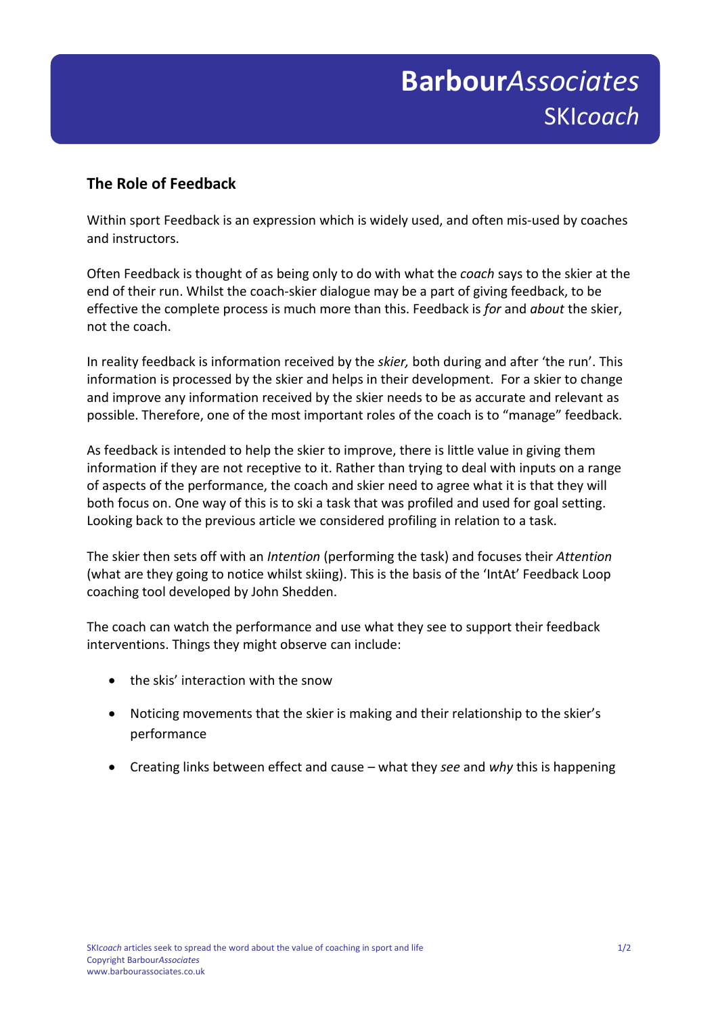## **The Role of Feedback**

Within sport Feedback is an expression which is widely used, and often mis-used by coaches and instructors.

Often Feedback is thought of as being only to do with what the *coach* says to the skier at the end of their run. Whilst the coach-skier dialogue may be a part of giving feedback, to be effective the complete process is much more than this. Feedback is *for* and *about* the skier, not the coach.

In reality feedback is information received by the *skier,* both during and after 'the run'. This information is processed by the skier and helps in their development. For a skier to change and improve any information received by the skier needs to be as accurate and relevant as possible. Therefore, one of the most important roles of the coach is to "manage" feedback.

As feedback is intended to help the skier to improve, there is little value in giving them information if they are not receptive to it. Rather than trying to deal with inputs on a range of aspects of the performance, the coach and skier need to agree what it is that they will both focus on. One way of this is to ski a task that was profiled and used for goal setting. Looking back to the previous article we considered profiling in relation to a task.

The skier then sets off with an *Intention* (performing the task) and focuses their *Attention* (what are they going to notice whilst skiing). This is the basis of the 'IntAt' Feedback Loop coaching tool developed by John Shedden.

The coach can watch the performance and use what they see to support their feedback interventions. Things they might observe can include:

- the skis' interaction with the snow
- Noticing movements that the skier is making and their relationship to the skier's performance
- Creating links between effect and cause what they *see* and *why* this is happening